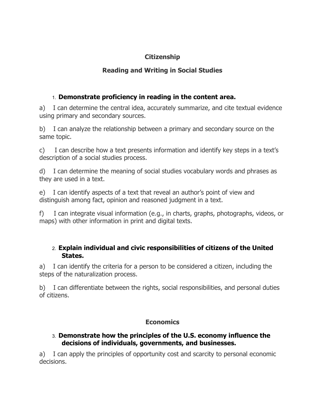## **Citizenship**

## **Reading and Writing in Social Studies**

## 1. **Demonstrate proficiency in reading in the content area.**

a) I can determine the central idea, accurately summarize, and cite textual evidence using primary and secondary sources.

b) I can analyze the relationship between a primary and secondary source on the same topic.

c) I can describe how a text presents information and identify key steps in a text's description of a social studies process.

d) I can determine the meaning of social studies vocabulary words and phrases as they are used in a text.

e) I can identify aspects of a text that reveal an author's point of view and distinguish among fact, opinion and reasoned judgment in a text.

f) I can integrate visual information (e.g., in charts, graphs, photographs, videos, or maps) with other information in print and digital texts.

### 2. **Explain individual and civic responsibilities of citizens of the United States.**

a) I can identify the criteria for a person to be considered a citizen, including the steps of the naturalization process.

b) I can differentiate between the rights, social responsibilities, and personal duties of citizens.

### **Economics**

#### 3. **Demonstrate how the principles of the U.S. economy influence the decisions of individuals, governments, and businesses.**

a) I can apply the principles of opportunity cost and scarcity to personal economic decisions.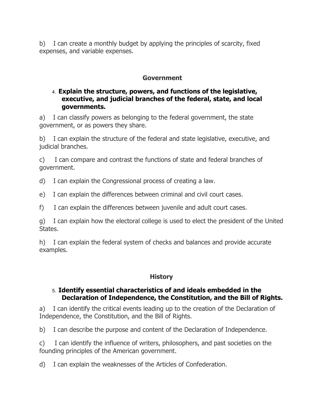b) I can create a monthly budget by applying the principles of scarcity, fixed expenses, and variable expenses.

#### **Government**

#### 4. **Explain the structure, powers, and functions of the legislative, executive, and judicial branches of the federal, state, and local governments.**

a) I can classify powers as belonging to the federal government, the state government, or as powers they share.

b) I can explain the structure of the federal and state legislative, executive, and judicial branches.

c) I can compare and contrast the functions of state and federal branches of government.

d) I can explain the Congressional process of creating a law.

e) I can explain the differences between criminal and civil court cases.

f) I can explain the differences between juvenile and adult court cases.

g) I can explain how the electoral college is used to elect the president of the United States.

h) I can explain the federal system of checks and balances and provide accurate examples.

#### **History**

#### 5. **Identify essential characteristics of and ideals embedded in the Declaration of Independence, the Constitution, and the Bill of Rights.**

a) I can identify the critical events leading up to the creation of the Declaration of Independence, the Constitution, and the Bill of Rights.

b) I can describe the purpose and content of the Declaration of Independence.

c) I can identify the influence of writers, philosophers, and past societies on the founding principles of the American government.

d) I can explain the weaknesses of the Articles of Confederation.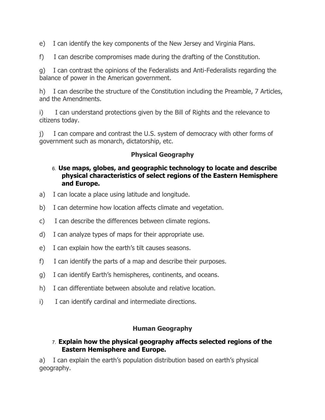e) I can identify the key components of the New Jersey and Virginia Plans.

f) I can describe compromises made during the drafting of the Constitution.

g) I can contrast the opinions of the Federalists and Anti-Federalists regarding the balance of power in the American government.

h) I can describe the structure of the Constitution including the Preamble, 7 Articles, and the Amendments.

i) I can understand protections given by the Bill of Rights and the relevance to citizens today.

j) I can compare and contrast the U.S. system of democracy with other forms of government such as monarch, dictatorship, etc.

# **Physical Geography**

### 6. **Use maps, globes, and geographic technology to locate and describe physical characteristics of select regions of the Eastern Hemisphere and Europe.**

- a) I can locate a place using latitude and longitude.
- b) I can determine how location affects climate and vegetation.
- c) I can describe the differences between climate regions.
- d) I can analyze types of maps for their appropriate use.
- e) I can explain how the earth's tilt causes seasons.
- f) I can identify the parts of a map and describe their purposes.
- g) I can identify Earth's hemispheres, continents, and oceans.
- h) I can differentiate between absolute and relative location.
- i) I can identify cardinal and intermediate directions.

#### **Human Geography**

#### 7. **Explain how the physical geography affects selected regions of the Eastern Hemisphere and Europe.**

a) I can explain the earth's population distribution based on earth's physical geography.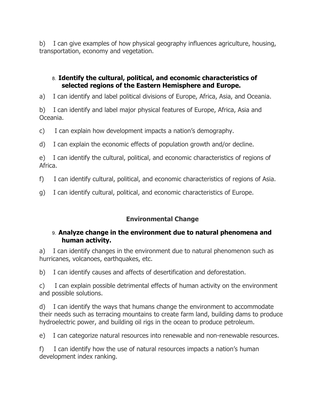b) I can give examples of how physical geography influences agriculture, housing, transportation, economy and vegetation.

### 8. **Identify the cultural, political, and economic characteristics of selected regions of the Eastern Hemisphere and Europe.**

a) I can identify and label political divisions of Europe, Africa, Asia, and Oceania.

b) I can identify and label major physical features of Europe, Africa, Asia and Oceania.

c) I can explain how development impacts a nation's demography.

d) I can explain the economic effects of population growth and/or decline.

e) I can identify the cultural, political, and economic characteristics of regions of Africa.

f) I can identify cultural, political, and economic characteristics of regions of Asia.

g) I can identify cultural, political, and economic characteristics of Europe.

## **Environmental Change**

#### 9. **Analyze change in the environment due to natural phenomena and human activity.**

a) I can identify changes in the environment due to natural phenomenon such as hurricanes, volcanoes, earthquakes, etc.

b) I can identify causes and affects of desertification and deforestation.

c) I can explain possible detrimental effects of human activity on the environment and possible solutions.

d) I can identify the ways that humans change the environment to accommodate their needs such as terracing mountains to create farm land, building dams to produce hydroelectric power, and building oil rigs in the ocean to produce petroleum.

e) I can categorize natural resources into renewable and non-renewable resources.

f) I can identify how the use of natural resources impacts a nation's human development index ranking.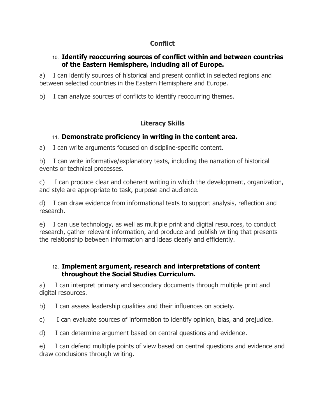# **Conflict**

### 10. **Identify reoccurring sources of conflict within and between countries of the Eastern Hemisphere, including all of Europe.**

a) I can identify sources of historical and present conflict in selected regions and between selected countries in the Eastern Hemisphere and Europe.

b) I can analyze sources of conflicts to identify reoccurring themes.

## **Literacy Skills**

## 11. **Demonstrate proficiency in writing in the content area.**

a) I can write arguments focused on discipline-specific content.

b) I can write informative/explanatory texts, including the narration of historical events or technical processes.

c) I can produce clear and coherent writing in which the development, organization, and style are appropriate to task, purpose and audience.

d) I can draw evidence from informational texts to support analysis, reflection and research.

e) I can use technology, as well as multiple print and digital resources, to conduct research, gather relevant information, and produce and publish writing that presents the relationship between information and ideas clearly and efficiently.

#### 12. **Implement argument, research and interpretations of content throughout the Social Studies Curriculum.**

a) I can interpret primary and secondary documents through multiple print and digital resources.

b) I can assess leadership qualities and their influences on society.

c) I can evaluate sources of information to identify opinion, bias, and prejudice.

d) I can determine argument based on central questions and evidence.

e) I can defend multiple points of view based on central questions and evidence and draw conclusions through writing.